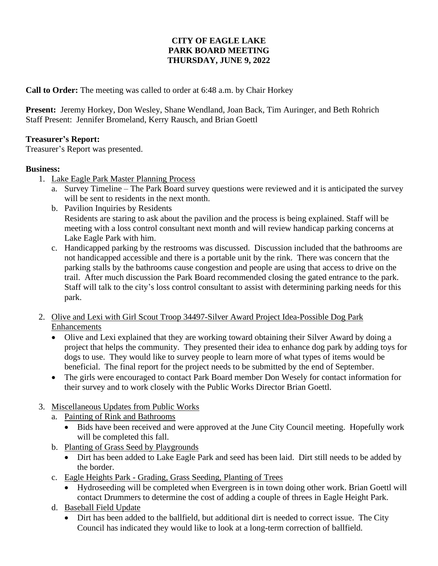## **CITY OF EAGLE LAKE PARK BOARD MEETING THURSDAY, JUNE 9, 2022**

**Call to Order:** The meeting was called to order at 6:48 a.m. by Chair Horkey

**Present:** Jeremy Horkey, Don Wesley, Shane Wendland, Joan Back, Tim Auringer, and Beth Rohrich Staff Present: Jennifer Bromeland, Kerry Rausch, and Brian Goettl

## **Treasurer's Report:**

Treasurer's Report was presented.

## **Business:**

- 1. Lake Eagle Park Master Planning Process
	- a. Survey Timeline The Park Board survey questions were reviewed and it is anticipated the survey will be sent to residents in the next month.
	- b. Pavilion Inquiries by Residents Residents are staring to ask about the pavilion and the process is being explained. Staff will be meeting with a loss control consultant next month and will review handicap parking concerns at Lake Eagle Park with him.
	- c. Handicapped parking by the restrooms was discussed. Discussion included that the bathrooms are not handicapped accessible and there is a portable unit by the rink. There was concern that the parking stalls by the bathrooms cause congestion and people are using that access to drive on the trail. After much discussion the Park Board recommended closing the gated entrance to the park. Staff will talk to the city's loss control consultant to assist with determining parking needs for this park.
- 2. Olive and Lexi with Girl Scout Troop 34497-Silver Award Project Idea-Possible Dog Park Enhancements
	- Olive and Lexi explained that they are working toward obtaining their Silver Award by doing a project that helps the community. They presented their idea to enhance dog park by adding toys for dogs to use. They would like to survey people to learn more of what types of items would be beneficial. The final report for the project needs to be submitted by the end of September.
	- The girls were encouraged to contact Park Board member Don Wesely for contact information for their survey and to work closely with the Public Works Director Brian Goettl.
- 3. Miscellaneous Updates from Public Works
	- a. Painting of Rink and Bathrooms
		- Bids have been received and were approved at the June City Council meeting. Hopefully work will be completed this fall.
	- b. Planting of Grass Seed by Playgrounds
		- Dirt has been added to Lake Eagle Park and seed has been laid. Dirt still needs to be added by the border.
	- c. Eagle Heights Park Grading, Grass Seeding, Planting of Trees
		- Hydroseeding will be completed when Evergreen is in town doing other work. Brian Goettl will contact Drummers to determine the cost of adding a couple of threes in Eagle Height Park.
	- d. Baseball Field Update
		- Dirt has been added to the ballfield, but additional dirt is needed to correct issue. The City Council has indicated they would like to look at a long-term correction of ballfield.